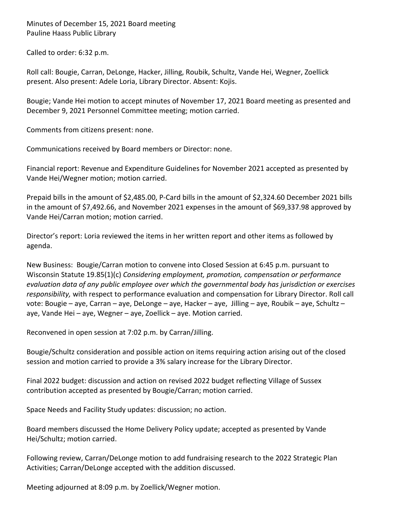Minutes of December 15, 2021 Board meeting Pauline Haass Public Library

Called to order: 6:32 p.m.

Roll call: Bougie, Carran, DeLonge, Hacker, Jilling, Roubik, Schultz, Vande Hei, Wegner, Zoellick present. Also present: Adele Loria, Library Director. Absent: Kojis.

Bougie; Vande Hei motion to accept minutes of November 17, 2021 Board meeting as presented and December 9, 2021 Personnel Committee meeting; motion carried.

Comments from citizens present: none.

Communications received by Board members or Director: none.

Financial report: Revenue and Expenditure Guidelines for November 2021 accepted as presented by Vande Hei/Wegner motion; motion carried.

Prepaid bills in the amount of \$2,485.00, P-Card bills in the amount of \$2,324.60 December 2021 bills in the amount of \$7,492.66, and November 2021 expenses in the amount of \$69,337.98 approved by Vande Hei/Carran motion; motion carried.

Director's report: Loria reviewed the items in her written report and other items as followed by agenda.

New Business: Bougie/Carran motion to convene into Closed Session at 6:45 p.m. pursuant to Wisconsin Statute 19.85(1)(c) *Considering employment, promotion, compensation or performance evaluation data of any public employee over which the governmental body has jurisdiction or exercises responsibility,* with respect to performance evaluation and compensation for Library Director. Roll call vote: Bougie – aye, Carran – aye, DeLonge – aye, Hacker – aye, Jilling – aye, Roubik – aye, Schultz – aye, Vande Hei – aye, Wegner – aye, Zoellick – aye. Motion carried.

Reconvened in open session at 7:02 p.m. by Carran/Jilling.

Bougie/Schultz consideration and possible action on items requiring action arising out of the closed session and motion carried to provide a 3% salary increase for the Library Director.

Final 2022 budget: discussion and action on revised 2022 budget reflecting Village of Sussex contribution accepted as presented by Bougie/Carran; motion carried.

Space Needs and Facility Study updates: discussion; no action.

Board members discussed the Home Delivery Policy update; accepted as presented by Vande Hei/Schultz; motion carried.

Following review, Carran/DeLonge motion to add fundraising research to the 2022 Strategic Plan Activities; Carran/DeLonge accepted with the addition discussed.

Meeting adjourned at 8:09 p.m. by Zoellick/Wegner motion.